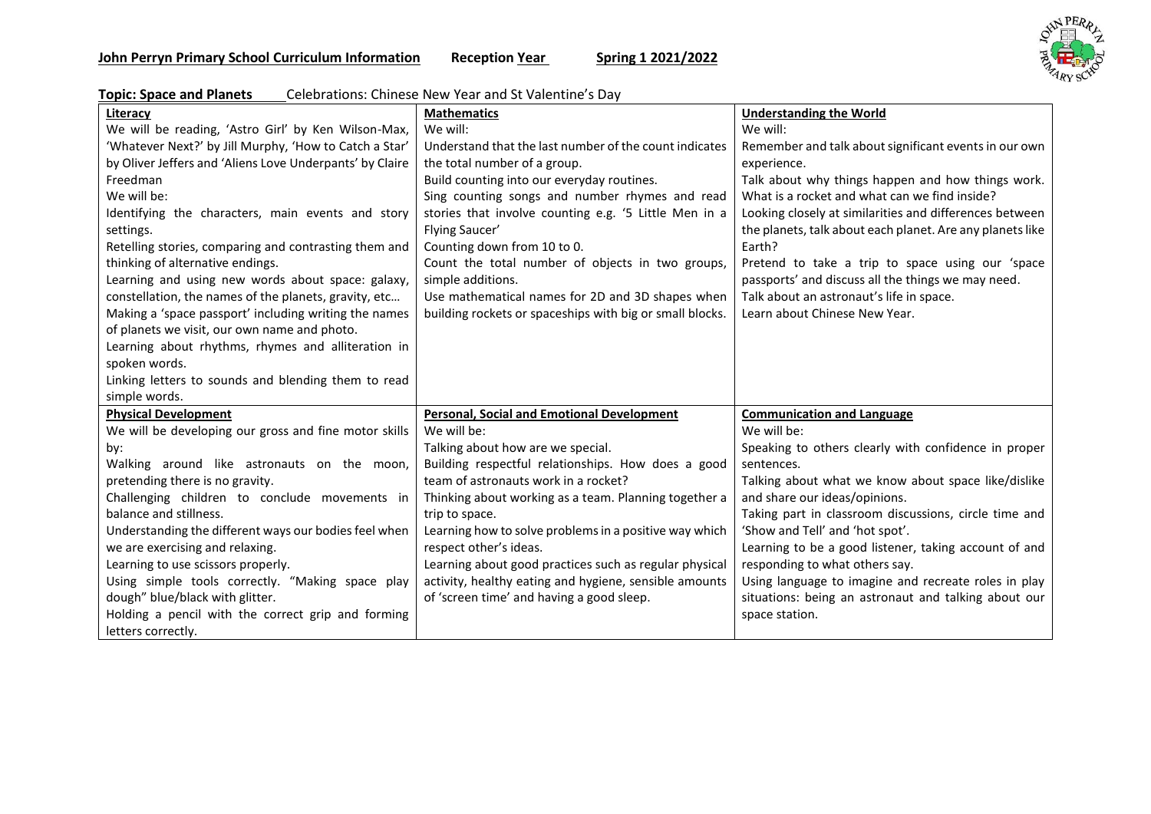

| <b>Topic: Space and Planets</b> | Celebrations: Chinese New Year and St Valentine's Day |
|---------------------------------|-------------------------------------------------------|
|                                 |                                                       |

| Literacy                                                 | <b>Mathematics</b>                                       | <b>Understanding the World</b>                            |
|----------------------------------------------------------|----------------------------------------------------------|-----------------------------------------------------------|
| We will be reading, 'Astro Girl' by Ken Wilson-Max,      | We will:                                                 | We will:                                                  |
| 'Whatever Next?' by Jill Murphy, 'How to Catch a Star'   | Understand that the last number of the count indicates   | Remember and talk about significant events in our own     |
| by Oliver Jeffers and 'Aliens Love Underpants' by Claire | the total number of a group.                             | experience.                                               |
| Freedman                                                 | Build counting into our everyday routines.               | Talk about why things happen and how things work.         |
| We will be:                                              | Sing counting songs and number rhymes and read           | What is a rocket and what can we find inside?             |
| Identifying the characters, main events and story        | stories that involve counting e.g. '5 Little Men in a    | Looking closely at similarities and differences between   |
| settings.                                                | Flying Saucer'                                           | the planets, talk about each planet. Are any planets like |
| Retelling stories, comparing and contrasting them and    | Counting down from 10 to 0.                              | Earth?                                                    |
| thinking of alternative endings.                         | Count the total number of objects in two groups,         | Pretend to take a trip to space using our 'space          |
| Learning and using new words about space: galaxy,        | simple additions.                                        | passports' and discuss all the things we may need.        |
| constellation, the names of the planets, gravity, etc    | Use mathematical names for 2D and 3D shapes when         | Talk about an astronaut's life in space.                  |
| Making a 'space passport' including writing the names    | building rockets or spaceships with big or small blocks. | Learn about Chinese New Year.                             |
| of planets we visit, our own name and photo.             |                                                          |                                                           |
| Learning about rhythms, rhymes and alliteration in       |                                                          |                                                           |
| spoken words.                                            |                                                          |                                                           |
| Linking letters to sounds and blending them to read      |                                                          |                                                           |
| simple words.                                            |                                                          |                                                           |
| <b>Physical Development</b>                              | <b>Personal, Social and Emotional Development</b>        | <b>Communication and Language</b>                         |
| We will be developing our gross and fine motor skills    | We will be:                                              | We will be:                                               |
| by:                                                      | Talking about how are we special.                        | Speaking to others clearly with confidence in proper      |
| Walking around like astronauts on the moon,              | Building respectful relationships. How does a good       | sentences.                                                |
| pretending there is no gravity.                          | team of astronauts work in a rocket?                     | Talking about what we know about space like/dislike       |
| Challenging children to conclude movements in            | Thinking about working as a team. Planning together a    | and share our ideas/opinions.                             |
| balance and stillness.                                   | trip to space.                                           | Taking part in classroom discussions, circle time and     |
| Understanding the different ways our bodies feel when    | Learning how to solve problems in a positive way which   | 'Show and Tell' and 'hot spot'.                           |
| we are exercising and relaxing.                          | respect other's ideas.                                   | Learning to be a good listener, taking account of and     |
| Learning to use scissors properly.                       | Learning about good practices such as regular physical   | responding to what others say.                            |
| Using simple tools correctly. "Making space play         | activity, healthy eating and hygiene, sensible amounts   | Using language to imagine and recreate roles in play      |
| dough" blue/black with glitter.                          | of 'screen time' and having a good sleep.                | situations: being an astronaut and talking about our      |
| Holding a pencil with the correct grip and forming       |                                                          | space station.                                            |
| letters correctly.                                       |                                                          |                                                           |